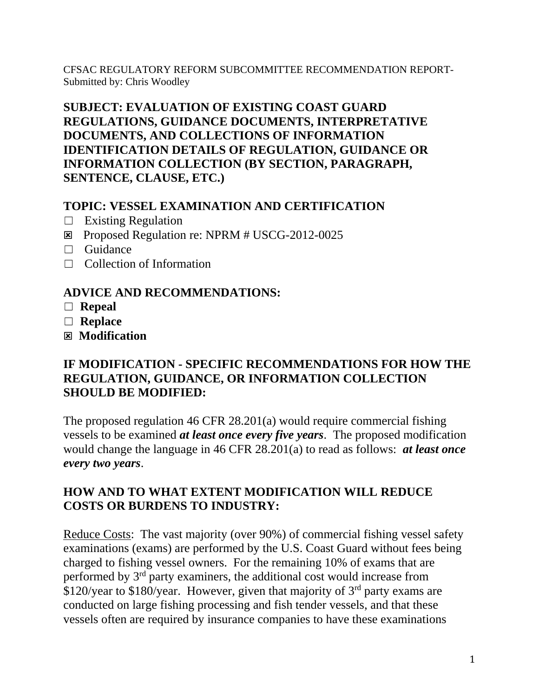CFSAC REGULATORY REFORM SUBCOMMITTEE RECOMMENDATION REPORT-Submitted by: Chris Woodley

# **SUBJECT: EVALUATION OF EXISTING COAST GUARD REGULATIONS, GUIDANCE DOCUMENTS, INTERPRETATIVE DOCUMENTS, AND COLLECTIONS OF INFORMATION IDENTIFICATION DETAILS OF REGULATION, GUIDANCE OR INFORMATION COLLECTION (BY SECTION, PARAGRAPH, SENTENCE, CLAUSE, ETC.)**

## **TOPIC: VESSEL EXAMINATION AND CERTIFICATION**

- $\Box$  Existing Regulation
- Proposed Regulation re: NPRM # USCG-2012-0025
- □ Guidance
- $\Box$  Collection of Information

## **ADVICE AND RECOMMENDATIONS:**

- ☐ **Repeal**
- ☐ **Replace**
- **Modification**

#### **IF MODIFICATION - SPECIFIC RECOMMENDATIONS FOR HOW THE REGULATION, GUIDANCE, OR INFORMATION COLLECTION SHOULD BE MODIFIED:**

The proposed regulation 46 CFR 28.201(a) would require commercial fishing vessels to be examined *at least once every five years*. The proposed modification would change the language in 46 CFR 28.201(a) to read as follows: *at least once every two years*.

# **HOW AND TO WHAT EXTENT MODIFICATION WILL REDUCE COSTS OR BURDENS TO INDUSTRY:**

Reduce Costs: The vast majority (over 90%) of commercial fishing vessel safety examinations (exams) are performed by the U.S. Coast Guard without fees being charged to fishing vessel owners. For the remaining 10% of exams that are performed by 3rd party examiners, the additional cost would increase from \$120/year to \$180/year. However, given that majority of  $3<sup>rd</sup>$  party exams are conducted on large fishing processing and fish tender vessels, and that these vessels often are required by insurance companies to have these examinations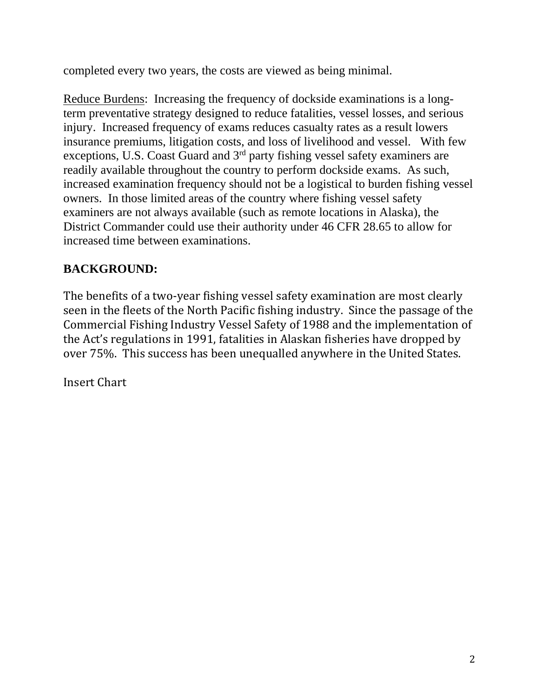completed every two years, the costs are viewed as being minimal.

Reduce Burdens: Increasing the frequency of dockside examinations is a longterm preventative strategy designed to reduce fatalities, vessel losses, and serious injury. Increased frequency of exams reduces casualty rates as a result lowers insurance premiums, litigation costs, and loss of livelihood and vessel. With few exceptions, U.S. Coast Guard and 3<sup>rd</sup> party fishing vessel safety examiners are readily available throughout the country to perform dockside exams. As such, increased examination frequency should not be a logistical to burden fishing vessel owners. In those limited areas of the country where fishing vessel safety examiners are not always available (such as remote locations in Alaska), the District Commander could use their authority under 46 CFR 28.65 to allow for increased time between examinations.

# **BACKGROUND:**

The benefits of a two-year fishing vessel safety examination are most clearly seen in the fleets of the North Pacific fishing industry. Since the passage of the Commercial Fishing Industry Vessel Safety of 1988 and the implementation of the Act's regulations in 1991, fatalities in Alaskan fisheries have dropped by over 75%. This success has been unequalled anywhere in the United States.

Insert Chart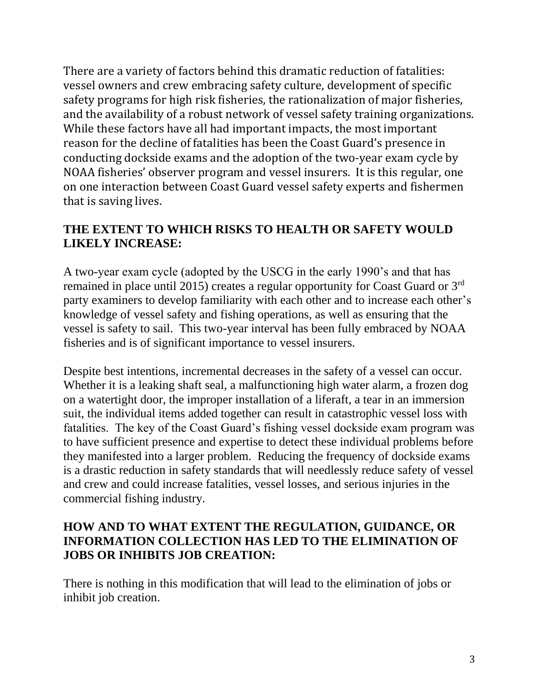There are a variety of factors behind this dramatic reduction of fatalities: vessel owners and crew embracing safety culture, development of specific safety programs for high risk fisheries, the rationalization of major fisheries, and the availability of a robust network of vessel safety training organizations. While these factors have all had important impacts, the most important reason for the decline of fatalities has been the Coast Guard's presence in conducting dockside exams and the adoption of the two-year exam cycle by NOAA fisheries' observer program and vessel insurers. It is this regular, one on one interaction between Coast Guard vessel safety experts and fishermen that is saving lives.

# **THE EXTENT TO WHICH RISKS TO HEALTH OR SAFETY WOULD LIKELY INCREASE:**

A two-year exam cycle (adopted by the USCG in the early 1990's and that has remained in place until 2015) creates a regular opportunity for Coast Guard or 3rd party examiners to develop familiarity with each other and to increase each other's knowledge of vessel safety and fishing operations, as well as ensuring that the vessel is safety to sail. This two-year interval has been fully embraced by NOAA fisheries and is of significant importance to vessel insurers.

Despite best intentions, incremental decreases in the safety of a vessel can occur. Whether it is a leaking shaft seal, a malfunctioning high water alarm, a frozen dog on a watertight door, the improper installation of a liferaft, a tear in an immersion suit, the individual items added together can result in catastrophic vessel loss with fatalities. The key of the Coast Guard's fishing vessel dockside exam program was to have sufficient presence and expertise to detect these individual problems before they manifested into a larger problem. Reducing the frequency of dockside exams is a drastic reduction in safety standards that will needlessly reduce safety of vessel and crew and could increase fatalities, vessel losses, and serious injuries in the commercial fishing industry.

#### **HOW AND TO WHAT EXTENT THE REGULATION, GUIDANCE, OR INFORMATION COLLECTION HAS LED TO THE ELIMINATION OF JOBS OR INHIBITS JOB CREATION:**

There is nothing in this modification that will lead to the elimination of jobs or inhibit job creation.